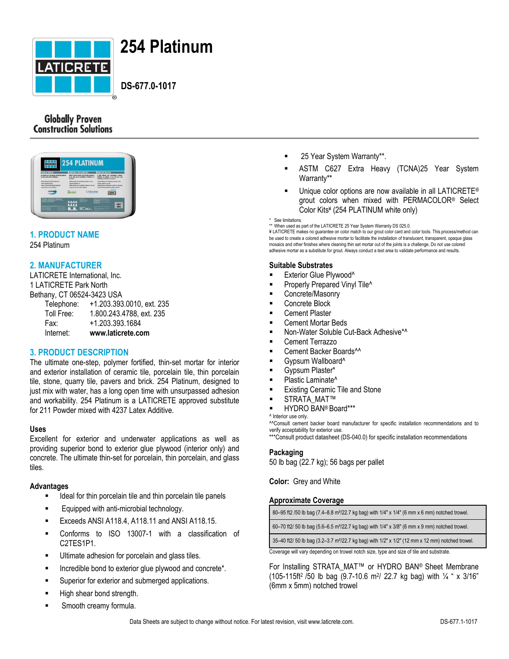

# **254 Platinum**

 **DS-677.0-1017**

## **Globally Proven Construction Solutions**



## **1. PRODUCT NAME**

254 Platinum

## **2. MANUFACTURER**

LATICRETE International, Inc. 1 LATICRETE Park North Bethany, CT 06524-3423 USA Telephone: +1.203.393.0010, ext. 235 Toll Free: 1.800.243.4788, ext. 235 Fax: +1.203.393.1684 Internet: **www.laticrete.com**

## **3. PRODUCT DESCRIPTION**

The ultimate one-step, polymer fortified, thin-set mortar for interior and exterior installation of ceramic tile, porcelain tile, thin porcelain tile, stone, quarry tile, pavers and brick. 254 Platinum, designed to just mix with water, has a long open time with unsurpassed adhesion and workability. 254 Platinum is a LATICRETE approved substitute for 211 Powder mixed with 4237 Latex Additive.

#### **Uses**

Excellent for exterior and underwater applications as well as providing superior bond to exterior glue plywood (interior only) and concrete. The ultimate thin-set for porcelain, thin porcelain, and glass tiles.

#### **Advantages**

- Ideal for thin porcelain tile and thin porcelain tile panels
- Equipped with anti-microbial technology.
- Exceeds ANSI A118.4, A118.11 and ANSI A118.15.
- Conforms to ISO 13007-1 with a classification of C2TES1P1.
- **Ultimate adhesion for porcelain and glass tiles.**
- Incredible bond to exterior glue plywood and concrete\*.
- Superior for exterior and submerged applications.
- High shear bond strength.
- Smooth creamy formula.
- 25 Year System Warranty\*\*.
- ASTM C627 Extra Heavy (TCNA)25 Year System Warranty\*\*
- Unique color options are now available in all LATICRETE® grout colors when mixed with PERMACOLOR® Select Color Kits¥ (254 PLATINUM white only)

\*\* When used as part of the LATICRETE 25 Year System Warranty DS 025.0. ¥ LATICRETE makes no guarantee on color match to our grout color card and color tools. This process/method can be used to create a colored adhesive mortar to facilitate the installation of translucent, transparent, opaque glass mosaics and other finishes where cleaning thin set mortar out of the joints is a challenge. Do not use colored adhesive mortar as a substitute for grout. Always conduct a test area to validate performance and results.

#### **Suitable Substrates**

- Exterior Glue Plywood^
- Properly Prepared Vinyl Tile<sup>^</sup>
- Concrete/Masonry
- Concrete Block
- Cement Plaster
- Cement Mortar Beds
- Non-Water Soluble Cut-Back Adhesive\*^
- Cement Terrazzo
- Cement Backer Boards^^
- Gypsum Wallboard^
- Gypsum Plaster\*
- Plastic Laminate^
- Existing Ceramic Tile and Stone
- STRATA\_MAT™
- HYDRO BAN® Board\*\*\*

^^Consult cement backer board manufacturer for specific installation recommendations and to verify acceptability for exterior use.

\*\*\*Consult product datasheet (DS-040.0) for specific installation recommendations

#### **Packaging**

50 lb bag (22.7 kg); 56 bags per pallet

**Color:** Grey and White

#### **Approximate Coverage**

80–95 ft2 /50 lb bag (7.4–8.8 m²/22.7 kg bag) with 1/4" x 1/4" (6 mm x 6 mm) notched trowel.

60–70 ft2/ 50 lb bag (5.6–6.5 m²/22.7 kg bag) with 1/4" x 3/8" (6 mm x 9 mm) notched trowel.

35–40 ft2/ 50 lb bag (3.2–3.7 m²/22.7 kg bag) with 1/2" x 1/2" (12 mm x 12 mm) notched trowel.

Coverage will vary depending on trowel notch size, type and size of tile and substrate.

For Installing STRATA\_MAT™ or HYDRO BAN® Sheet Membrane  $(105-115\text{ft}^2/50)$  lb bag  $(9.7-10.6 \text{ m}^2/22.7)$  kg bag) with  $\frac{1}{4}$  " x 3/16" (6mm x 5mm) notched trowel

See limitations.

<sup>^</sup> Interior use only.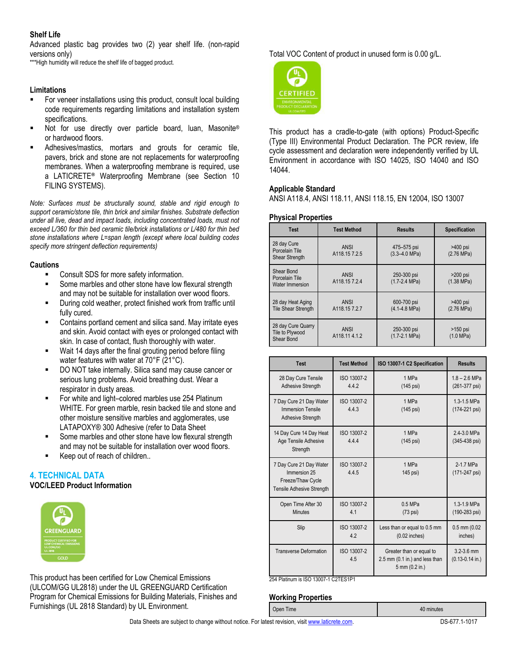#### **Shelf Life**

Advanced plastic bag provides two (2) year shelf life. (non-rapid versions only)

\*\*\*High humidity will reduce the shelf life of bagged product.

#### **Limitations**

- For veneer installations using this product, consult local building code requirements regarding limitations and installation system specifications.
- Not for use directly over particle board, luan, Masonite® or hardwood floors.
- Adhesives/mastics, mortars and grouts for ceramic tile, pavers, brick and stone are not replacements for waterproofing membranes. When a waterproofing membrane is required, use a LATICRETE**®** Waterproofing Membrane (see Section 10 FILING SYSTEMS).

*Note: Surfaces must be structurally sound, stable and rigid enough to support ceramic/stone tile, thin brick and similar finishes. Substrate deflection under all live, dead and impact loads, including concentrated loads, must not exceed L/360 for thin bed ceramic tile/brick installations or L/480 for thin bed stone installations where L=span length (except where local building codes specify more stringent deflection requirements)*

#### **Cautions**

- Consult SDS for more safety information.
- Some marbles and other stone have low flexural strength and may not be suitable for installation over wood floors.
- During cold weather, protect finished work from traffic until fully cured.
- Contains portland cement and silica sand. May irritate eyes and skin. Avoid contact with eyes or prolonged contact with skin. In case of contact, flush thoroughly with water.
- Wait 14 days after the final grouting period before filing water features with water at 70°F (21°C).
- DO NOT take internally. Silica sand may cause cancer or serious lung problems. Avoid breathing dust. Wear a respirator in dusty areas.
- For white and light–colored marbles use 254 Platinum WHITE. For green marble, resin backed tile and stone and other moisture sensitive marbles and agglomerates, use LATAPOXY® 300 Adhesive (refer to Data Sheet
- Some marbles and other stone have low flexural strength and may not be suitable for installation over wood floors.
- Keep out of reach of children..

## **4. TECHNICAL DATA**

**VOC/LEED Product Information** 



This product has been certified for Low Chemical Emissions (ULCOM/GG UL2818) under the UL GREENGUARD Certification Program for Chemical Emissions for Building Materials, Finishes and Furnishings (UL 2818 Standard) by UL Environment.

Total VOC Content of product in unused form is 0.00 g/L.



This product has a cradle-to-gate (with options) Product-Specific (Type III) Environmental Product Declaration. The PCR review, life cycle assessment and declaration were independently verified by UL Environment in accordance with ISO 14025, ISO 14040 and ISO 14044.

#### **Applicable Standard**

ANSI A118.4, ANSI 118.11, ANSI 118.15, EN 12004, ISO 13007

#### **Physical Properties**

| <b>Test</b>                                            | <b>Test Method</b>   | <b>Results</b>                           | <b>Specification</b>               |
|--------------------------------------------------------|----------------------|------------------------------------------|------------------------------------|
| 28 day Cure<br>Porcelain Tile<br><b>Shear Strength</b> | ANSI<br>A118.157.2.5 | 475-575 psi<br>$(3.3 - 4.0 \text{ MPa})$ | >400 psi<br>$(2.76 \text{ MPa})$   |
| Shear Bond<br>Porcelain Tile<br>Water Immersion        | ANSI<br>A118.157.2.4 | 250-300 psi<br>$(1.7 - 2.4 MPa)$         | $>200$ psi<br>$(1.38 \text{ MPa})$ |
| 28 day Heat Aging<br><b>Tile Shear Strength</b>        | ANSI<br>A118.157.2.7 | 600-700 psi<br>$(4.1 - 4.8 \text{ MPa})$ | >400 psi<br>$(2.76 \text{ MPa})$   |
| 28 day Cure Quarry<br>Tile to Plywood<br>Shear Bond    | ANSI<br>A118.114.1.2 | 250-300 psi<br>$(1.7-2.1 \text{ MPa})$   | $>150$ psi<br>$(1.0 \text{ MPa})$  |

| <b>Test</b>                                                                                      | <b>Test Method</b>   | ISO 13007-1 C2 Specification                                                 | <b>Results</b>                         |
|--------------------------------------------------------------------------------------------------|----------------------|------------------------------------------------------------------------------|----------------------------------------|
| 28 Day Cure Tensile<br>Adhesive Strength                                                         | ISO 13007-2<br>442   | 1 MPa<br>$(145 \text{ psi})$                                                 | $1.8 - 2.6$ MPa<br>(261-377 psi)       |
| 7 Day Cure 21 Day Water<br><b>Immersion Tensile</b><br><b>Adhesive Strength</b>                  | ISO 13007-2<br>4.4.3 | 1 MPa<br>$(145 \text{ psi})$                                                 | 1.3-1.5 MPa<br>(174-221 psi)           |
| 14 Day Cure 14 Day Heat<br>Age Tensile Adhesive<br>Strength                                      | ISO 13007-2<br>444   | 1 MPa<br>$(145 \text{ psi})$                                                 | 2.4-3.0 MPa<br>(345-438 psi)           |
| 7 Day Cure 21 Day Water<br>Immersion 25<br>Freeze/Thaw Cycle<br><b>Tensile Adhesive Strength</b> | ISO 13007-2<br>4.4.5 | 1 MPa<br>145 psi)                                                            | 2-1.7 MPa<br>(171-247 psi)             |
| Open Time After 30<br><b>Minutes</b>                                                             | ISO 13007-2<br>41    | $0.5$ MPa<br>$(73 \text{ psi})$                                              | 1.3-1.9 MPa<br>(190-283 psi)           |
| Slip                                                                                             | ISO 13007-2<br>4.2   | Less than or equal to 0.5 mm<br>$(0.02$ inches)                              | $0.5$ mm $(0.02)$<br>inches)           |
| <b>Transverse Deformation</b>                                                                    | ISO 13007-2<br>4.5   | Greater than or equal to<br>2.5 mm (0.1 in.) and less than<br>5 mm (0.2 in.) | $3.2 - 3.6$ mm<br>$(0.13 - 0.14)$ in.) |

Open Time 40 minutes

254 Platinum is ISO 13007-1 C2TES1P1

#### **Working Properties**

Data Sheets are subject to change without notice. For latest revision, visit [www.laticrete.com.](http://www.laticrete.com/) DS-677.1-1017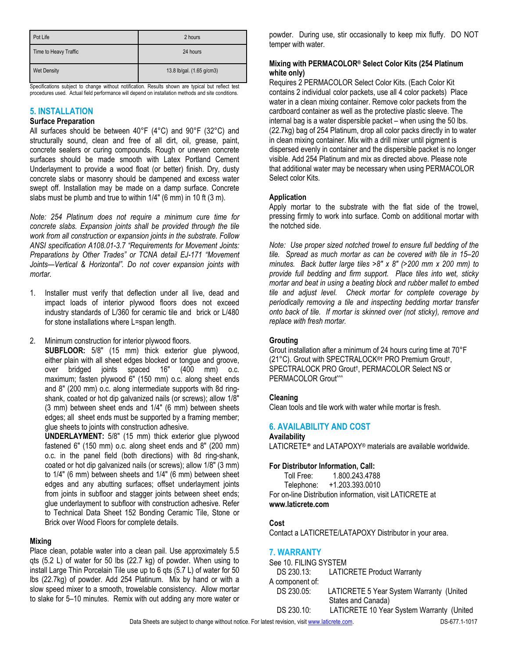| Pot Life              | 2 hours                   |
|-----------------------|---------------------------|
| Time to Heavy Traffic | 24 hours                  |
| <b>Wet Density</b>    | 13.8 lb/gal. (1.65 g/cm3) |

Specifications subject to change without notification. Results shown are typical but reflect test procedures used. Actual field performance will depend on installation methods and site conditions.

# **5. INSTALLATION**

#### **Surface Preparation** All surfaces should be between 40°F (4°C) and 90°F (32°C) and structurally sound, clean and free of all dirt, oil, grease, paint, concrete sealers or curing compounds. Rough or uneven concrete surfaces should be made smooth with Latex Portland Cement Underlayment to provide a wood float (or better) finish. Dry, dusty concrete slabs or masonry should be dampened and excess water swept off. Installation may be made on a damp surface. Concrete

slabs must be plumb and true to within 1/4" (6 mm) in 10 ft (3 m).

*Note: 254 Platinum does not require a minimum cure time for concrete slabs. Expansion joints shall be provided through the tile work from all construction or expansion joints in the substrate. Follow ANSI specification A108.01-3.7 "Requirements for Movement Joints: Preparations by Other Trades" or TCNA detail EJ-171 "Movement Joints—Vertical & Horizontal". Do not cover expansion joints with mortar.*

- 1. Installer must verify that deflection under all live, dead and impact loads of interior plywood floors does not exceed industry standards of L/360 for ceramic tile and brick or L/480 for stone installations where L=span length.
- 2. Minimum construction for interior plywood floors.

**SUBFLOOR:** 5/8" (15 mm) thick exterior glue plywood, either plain with all sheet edges blocked or tongue and groove, over bridged joints spaced 16" (400 mm) o.c. maximum; fasten plywood 6" (150 mm) o.c. along sheet ends and 8" (200 mm) o.c. along intermediate supports with 8d ringshank, coated or hot dip galvanized nails (or screws); allow 1/8" (3 mm) between sheet ends and 1/4" (6 mm) between sheets edges; all sheet ends must be supported by a framing member; glue sheets to joints with construction adhesive.

**UNDERLAYMENT:** 5/8" (15 mm) thick exterior glue plywood fastened 6" (150 mm) o.c. along sheet ends and 8" (200 mm) o.c. in the panel field (both directions) with 8d ring-shank, coated or hot dip galvanized nails (or screws); allow 1/8" (3 mm) to 1/4" (6 mm) between sheets and 1/4" (6 mm) between sheet edges and any abutting surfaces; offset underlayment joints from joints in subfloor and stagger joints between sheet ends; glue underlayment to subfloor with construction adhesive. Refer to Technical Data Sheet 152 Bonding Ceramic Tile, Stone or Brick over Wood Floors for complete details.

## **Mixing**

Place clean, potable water into a clean pail. Use approximately 5.5 qts (5.2 L) of water for 50 lbs (22.7 kg) of powder. When using to install Large Thin Porcelain Tile use up to 6 qts (5.7 L) of water for 50 lbs (22.7kg) of powder. Add 254 Platinum. Mix by hand or with a slow speed mixer to a smooth, trowelable consistency. Allow mortar to slake for 5–10 minutes. Remix with out adding any more water or powder. During use, stir occasionally to keep mix fluffy. DO NOT temper with water.

#### **Mixing with PERMACOLOR® Select Color Kits (254 Platinum white only)**

Requires 2 PERMACOLOR Select Color Kits. (Each Color Kit contains 2 individual color packets, use all 4 color packets) Place water in a clean mixing container. Remove color packets from the cardboard container as well as the protective plastic sleeve. The internal bag is a water dispersible packet – when using the 50 lbs. (22.7kg) bag of 254 Platinum, drop all color packs directly in to water in clean mixing container. Mix with a drill mixer until pigment is dispersed evenly in container and the dispersible packet is no longer visible. Add 254 Platinum and mix as directed above. Please note that additional water may be necessary when using PERMACOLOR Select color Kits.

## **Application**

Apply mortar to the substrate with the flat side of the trowel, pressing firmly to work into surface. Comb on additional mortar with the notched side.

*Note: Use proper sized notched trowel to ensure full bedding of the tile. Spread as much mortar as can be covered with tile in 15–20 minutes. Back butter large tiles >8" x 8" (>200 mm x 200 mm) to provide full bedding and firm support. Place tiles into wet, sticky mortar and beat in using a beating block and rubber mallet to embed tile and adjust level. Check mortar for complete coverage by periodically removing a tile and inspecting bedding mortar transfer onto back of tile. If mortar is skinned over (not sticky), remove and replace with fresh mortar.*

## **Grouting**

Grout installation after a minimum of 24 hours curing time at 70°F (21°C). Grout with SPECTRALOCK®† PRO Premium Grout† , SPECTRALOCK PRO Grout† , PERMACOLOR Select NS or PERMACOLOR Grout^^^

## **Cleaning**

Clean tools and tile work with water while mortar is fresh.

## **6. AVAILABILITY AND COST**

**Availability** LATICRETE® and LATAPOXY® materials are available worldwide.

## **For Distributor Information, Call:**

Toll Free: 1.800.243.4788 Telephone: +1.203.393.0010 For on-line Distribution information, visit LATICRETE at **www.laticrete.com**

## **Cost**

Contact a LATICRETE/LATAPOXY Distributor in your area.

## **7. WARRANTY**

See 10. FILING SYSTEM<br>DS 230.13: LATIC LATICRETE Product Warranty A component of: DS 230.05: LATICRETE 5 Year System Warranty (United States and Canada) DS 230.10: LATICRETE 10 Year System Warranty (United

Data Sheets are subject to change without notice. For latest revision, visit [www.laticrete.com.](http://www.laticrete.com/) DS-677.1-1017